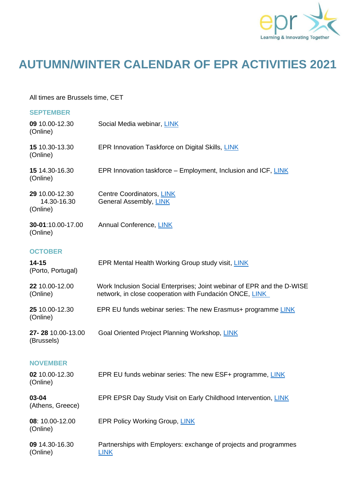

## **AUTUMN/WINTER CALENDAR OF EPR ACTIVITIES 2021**

All times are Brussels time, CET

(Online)

| <b>SEPTEMBER</b>                          |                                                                                                                                   |
|-------------------------------------------|-----------------------------------------------------------------------------------------------------------------------------------|
| 09 10.00-12.30<br>(Online)                | Social Media webinar, LINK                                                                                                        |
| 15 10.30-13.30<br>(Online)                | EPR Innovation Taskforce on Digital Skills, LINK                                                                                  |
| 15 14.30-16.30<br>(Online)                | EPR Innovation taskforce – Employment, Inclusion and ICF, LINK                                                                    |
| 29 10.00-12.30<br>14.30-16.30<br>(Online) | Centre Coordinators, LINK<br>General Assembly, LINK                                                                               |
| 30-01:10.00-17.00<br>(Online)             | Annual Conference, LINK                                                                                                           |
| <b>OCTOBER</b>                            |                                                                                                                                   |
| $14 - 15$<br>(Porto, Portugal)            | EPR Mental Health Working Group study visit, LINK                                                                                 |
| 22 10.00-12.00<br>(Online)                | Work Inclusion Social Enterprises; Joint webinar of EPR and the D-WISE<br>network, in close cooperation with Fundación ONCE, LINK |
| 25 10.00-12.30<br>(Online)                | EPR EU funds webinar series: The new Erasmus+ programme LINK                                                                      |
| 27-28 10.00-13.00<br>(Brussels)           | Goal Oriented Project Planning Workshop, LINK                                                                                     |
| <b>NOVEMBER</b>                           |                                                                                                                                   |
| 02 10.00-12.30<br>(Online)                | EPR EU funds webinar series: The new ESF+ programme, LINK                                                                         |
| 03-04<br>(Athens, Greece)                 | EPR EPSR Day Study Visit on Early Childhood Intervention, LINK                                                                    |
| 08: 10.00-12.00                           | <b>EPR Policy Working Group, LINK</b>                                                                                             |

**09** 14.30-16.30 Partnerships with Employers: exchange of projects and programmes (Online) [LINK](https://www.epr.eu/?post_type=event&p=4684)